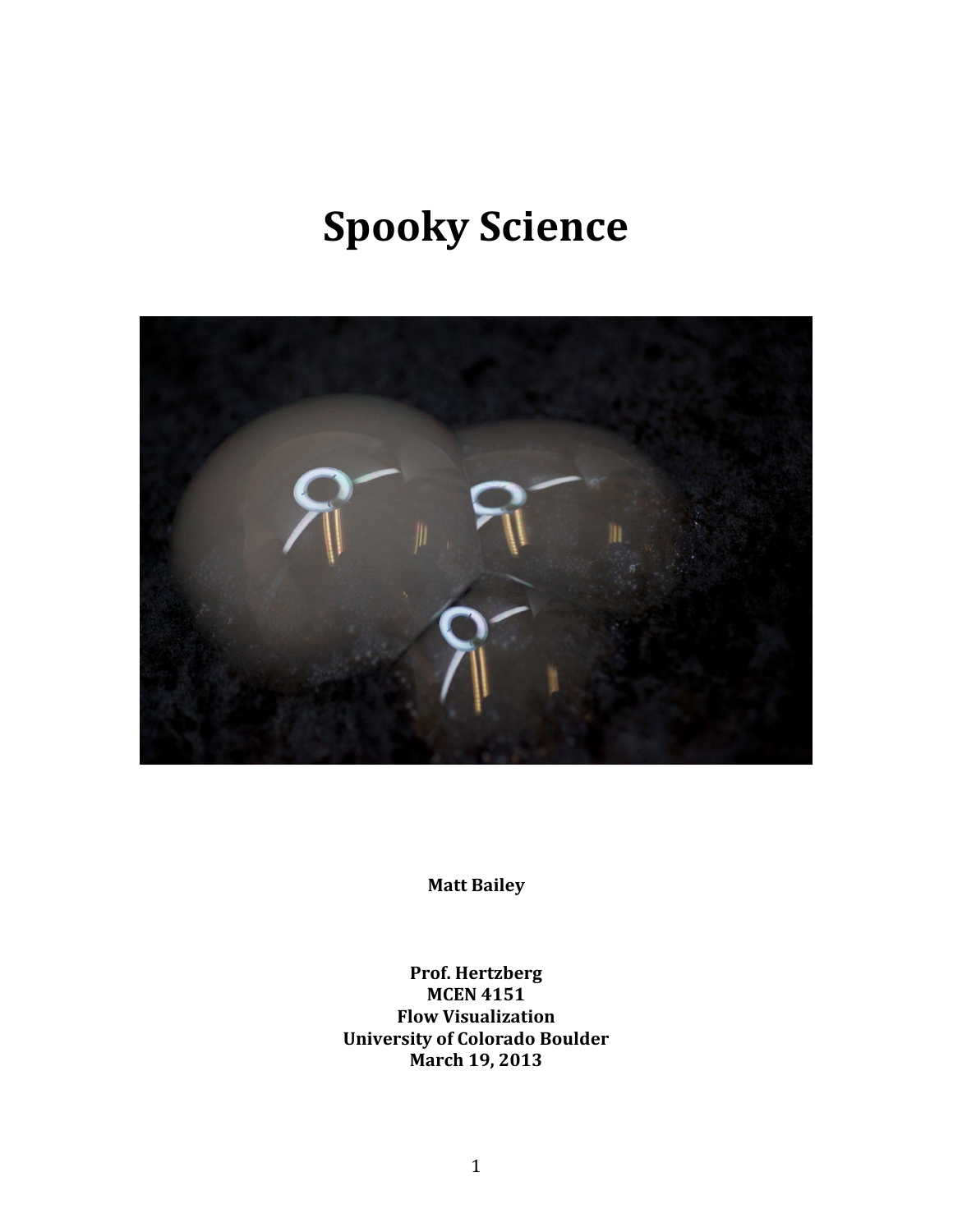# **Spooky Science**



**Matt Bailey**

**Prof. Hertzberg MCEN 4151 Flow Visualization University of Colorado Boulder March 19, 2013**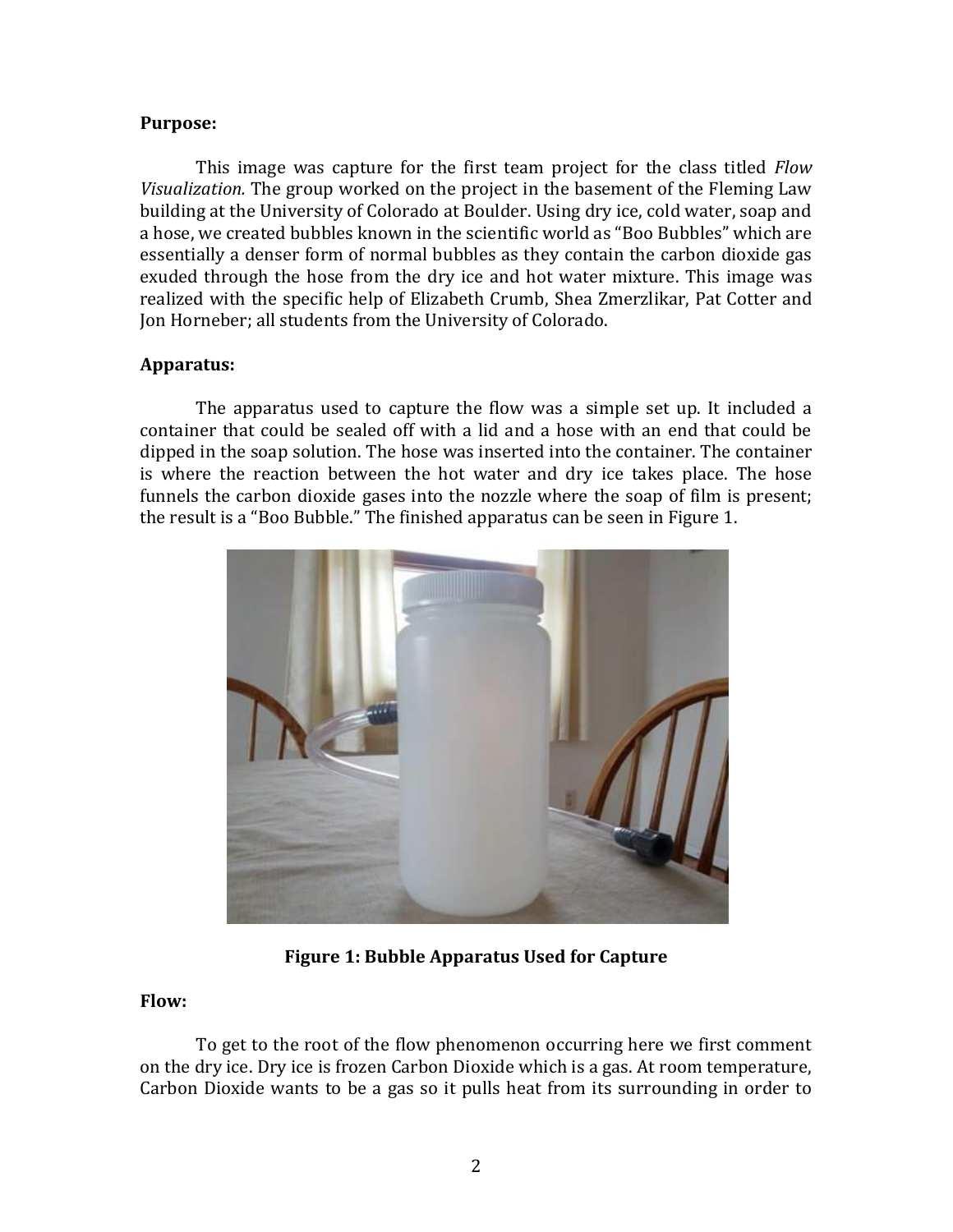#### **Purpose:**

This image was capture for the first team project for the class titled *Flow Visualization.* The group worked on the project in the basement of the Fleming Law building at the University of Colorado at Boulder. Using dry ice, cold water, soap and a hose, we created bubbles known in the scientific world as "Boo Bubbles" which are essentially a denser form of normal bubbles as they contain the carbon dioxide gas exuded through the hose from the dry ice and hot water mixture. This image was realized with the specific help of Elizabeth Crumb, Shea Zmerzlikar, Pat Cotter and Jon Horneber; all students from the University of Colorado.

## **Apparatus:**

The apparatus used to capture the flow was a simple set up. It included a container that could be sealed off with a lid and a hose with an end that could be dipped in the soap solution. The hose was inserted into the container. The container is where the reaction between the hot water and dry ice takes place. The hose funnels the carbon dioxide gases into the nozzle where the soap of film is present; the result is a "Boo Bubble." The finished apparatus can be seen in Figure 1.



**Figure 1: Bubble Apparatus Used for Capture**

## **Flow:**

To get to the root of the flow phenomenon occurring here we first comment on the dry ice. Dry ice is frozen Carbon Dioxide which is a gas. At room temperature, Carbon Dioxide wants to be a gas so it pulls heat from its surrounding in order to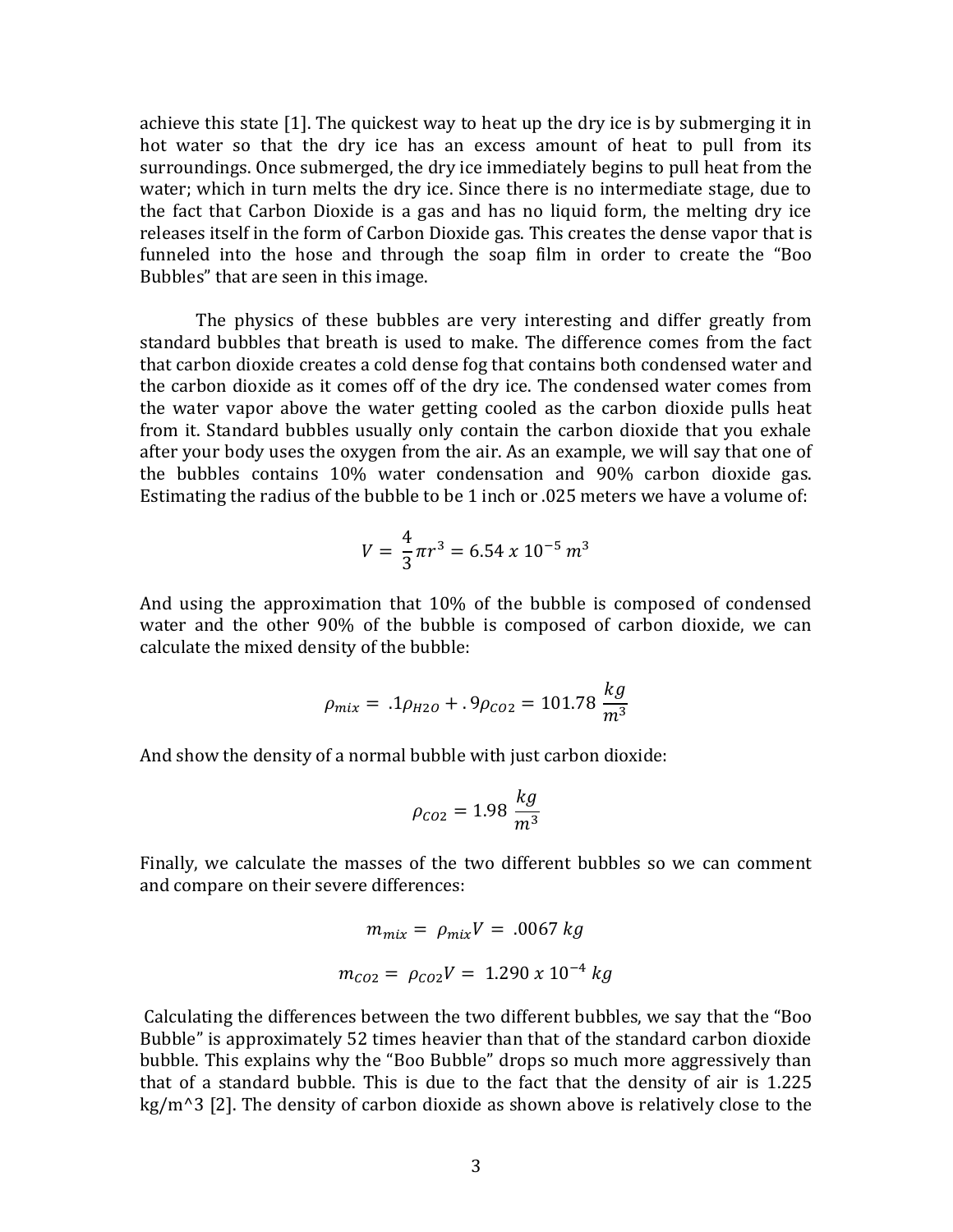achieve this state [1]. The quickest way to heat up the dry ice is by submerging it in hot water so that the dry ice has an excess amount of heat to pull from its surroundings. Once submerged, the dry ice immediately begins to pull heat from the water; which in turn melts the dry ice. Since there is no intermediate stage, due to the fact that Carbon Dioxide is a gas and has no liquid form, the melting dry ice releases itself in the form of Carbon Dioxide gas. This creates the dense vapor that is funneled into the hose and through the soap film in order to create the "Boo Bubbles" that are seen in this image.

The physics of these bubbles are very interesting and differ greatly from standard bubbles that breath is used to make. The difference comes from the fact that carbon dioxide creates a cold dense fog that contains both condensed water and the carbon dioxide as it comes off of the dry ice. The condensed water comes from the water vapor above the water getting cooled as the carbon dioxide pulls heat from it. Standard bubbles usually only contain the carbon dioxide that you exhale after your body uses the oxygen from the air. As an example, we will say that one of the bubbles contains 10% water condensation and 90% carbon dioxide gas. Estimating the radius of the bubble to be 1 inch or .025 meters we have a volume of:

$$
V = \frac{4}{3}\pi r^3 = 6.54 \times 10^{-5} \, m^3
$$

And using the approximation that 10% of the bubble is composed of condensed water and the other 90% of the bubble is composed of carbon dioxide, we can calculate the mixed density of the bubble:

$$
\rho_{mix} = .1 \rho_{H2O} + .9 \rho_{CO2} = 101.78 \frac{kg}{m^3}
$$

And show the density of a normal bubble with just carbon dioxide:

$$
\rho_{CO2} = 1.98 \frac{kg}{m^3}
$$

Finally, we calculate the masses of the two different bubbles so we can comment and compare on their severe differences:

$$
m_{mix} = \rho_{mix} V = .0067 kg
$$

$$
m_{CO2} = \rho_{CO2} V = 1.290 x 10^{-4} kg
$$

Calculating the differences between the two different bubbles, we say that the "Boo Bubble" is approximately 52 times heavier than that of the standard carbon dioxide bubble. This explains why the "Boo Bubble" drops so much more aggressively than that of a standard bubble. This is due to the fact that the density of air is 1.225 kg/m^3 [2]. The density of carbon dioxide as shown above is relatively close to the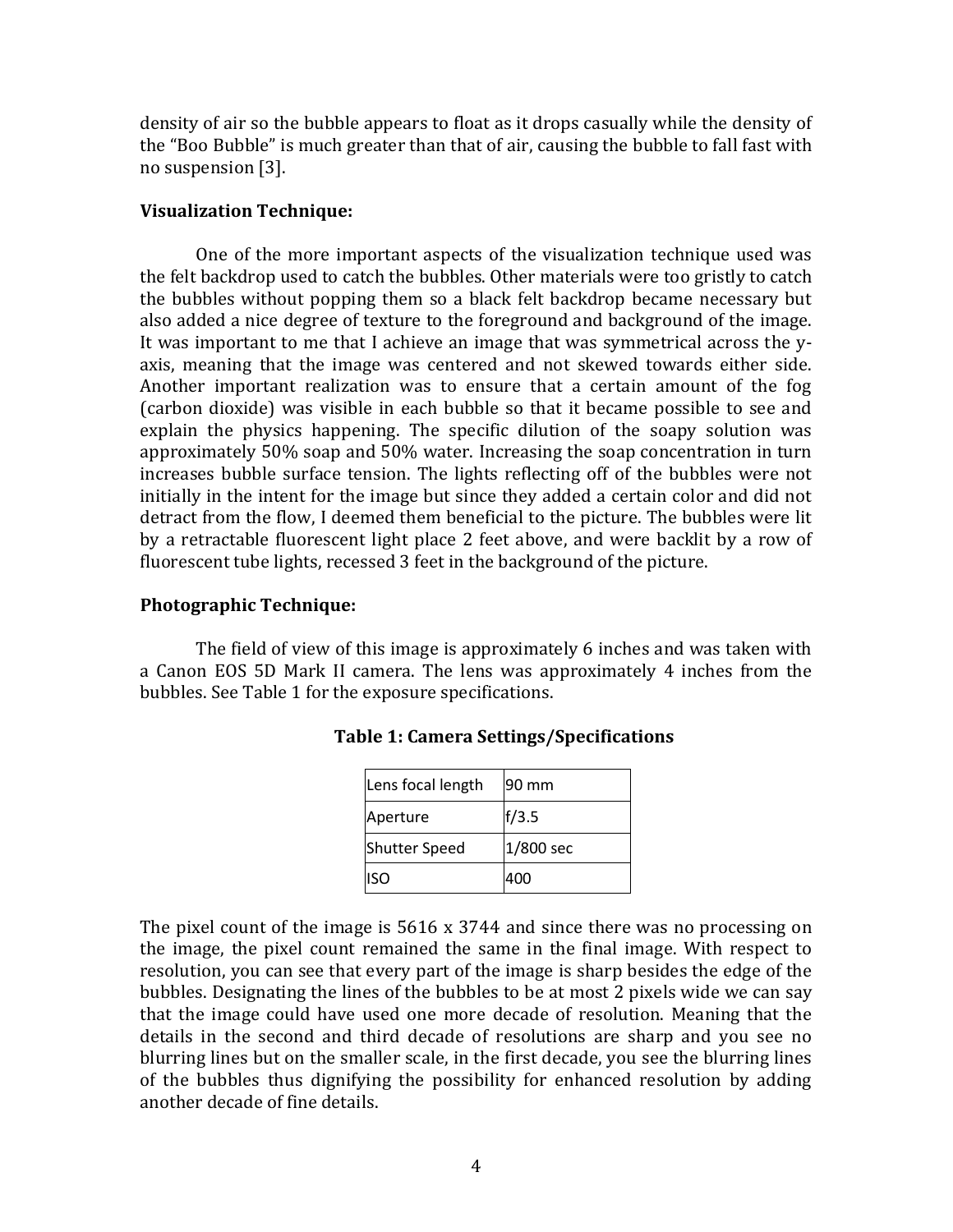density of air so the bubble appears to float as it drops casually while the density of the "Boo Bubble" is much greater than that of air, causing the bubble to fall fast with no suspension [3].

### **Visualization Technique:**

One of the more important aspects of the visualization technique used was the felt backdrop used to catch the bubbles. Other materials were too gristly to catch the bubbles without popping them so a black felt backdrop became necessary but also added a nice degree of texture to the foreground and background of the image. It was important to me that I achieve an image that was symmetrical across the yaxis, meaning that the image was centered and not skewed towards either side. Another important realization was to ensure that a certain amount of the fog (carbon dioxide) was visible in each bubble so that it became possible to see and explain the physics happening. The specific dilution of the soapy solution was approximately 50% soap and 50% water. Increasing the soap concentration in turn increases bubble surface tension. The lights reflecting off of the bubbles were not initially in the intent for the image but since they added a certain color and did not detract from the flow, I deemed them beneficial to the picture. The bubbles were lit by a retractable fluorescent light place 2 feet above, and were backlit by a row of fluorescent tube lights, recessed 3 feet in the background of the picture.

#### **Photographic Technique:**

The field of view of this image is approximately 6 inches and was taken with a Canon EOS 5D Mark II camera. The lens was approximately 4 inches from the bubbles. See Table 1 for the exposure specifications.

| Lens focal length | 90 mm     |
|-------------------|-----------|
| Aperture          | f/3.5     |
| Shutter Speed     | 1/800 sec |
| <b>ISO</b>        | 400       |

| <b>Table 1: Camera Settings/Specifications</b> |  |  |  |
|------------------------------------------------|--|--|--|
|------------------------------------------------|--|--|--|

The pixel count of the image is 5616 x 3744 and since there was no processing on the image, the pixel count remained the same in the final image. With respect to resolution, you can see that every part of the image is sharp besides the edge of the bubbles. Designating the lines of the bubbles to be at most 2 pixels wide we can say that the image could have used one more decade of resolution. Meaning that the details in the second and third decade of resolutions are sharp and you see no blurring lines but on the smaller scale, in the first decade, you see the blurring lines of the bubbles thus dignifying the possibility for enhanced resolution by adding another decade of fine details.